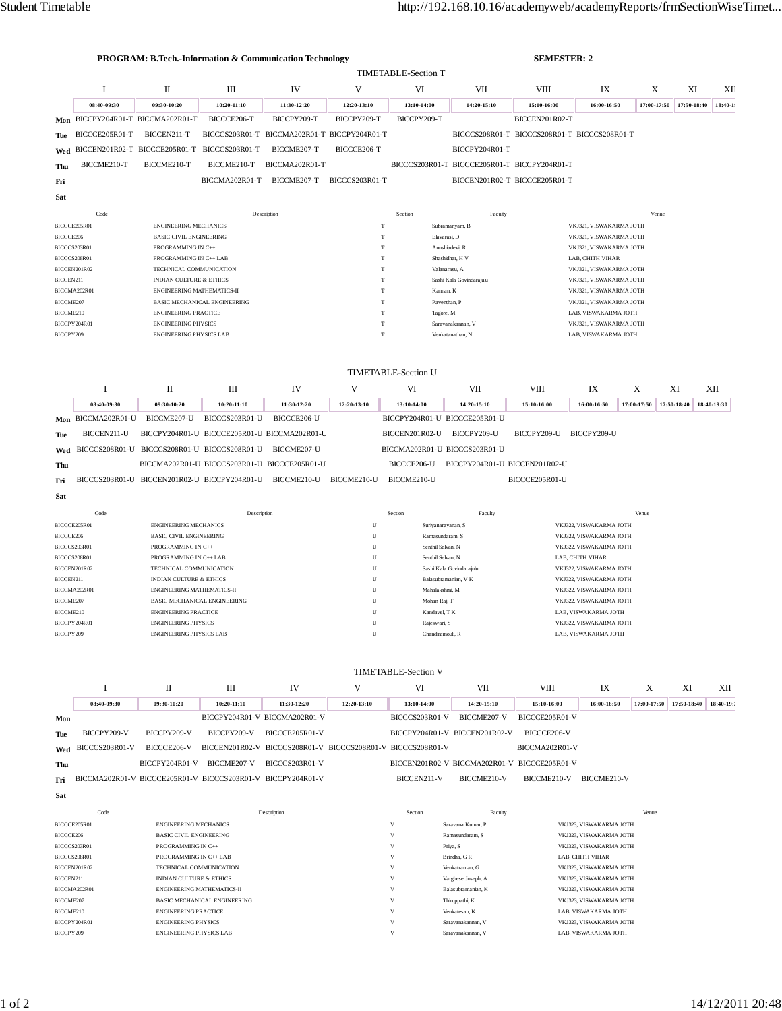|                              |                            | <b>PROGRAM: B.Tech.-Information &amp; Communication Technology</b> |                                                              |                                              |                                                  |                                             |                                                    | <b>SEMESTER: 2</b>                                 |                                                    |             |             |             |  |
|------------------------------|----------------------------|--------------------------------------------------------------------|--------------------------------------------------------------|----------------------------------------------|--------------------------------------------------|---------------------------------------------|----------------------------------------------------|----------------------------------------------------|----------------------------------------------------|-------------|-------------|-------------|--|
|                              |                            |                                                                    |                                                              |                                              |                                                  | <b>TIMETABLE-Section T</b>                  |                                                    |                                                    |                                                    |             |             |             |  |
|                              | 1                          | IV<br>V<br>VI<br>VII<br>П<br>Ш                                     |                                                              |                                              |                                                  |                                             | VIII                                               | IX                                                 | X                                                  | XI          | XІІ         |             |  |
|                              | 08:40-09:30                | 09:30-10:20                                                        | 10:20-11:10                                                  | 11:30-12:20                                  | 12:20-13:10                                      | 13:10-14:00                                 | 14:20-15:10                                        | 15:10-16:00                                        | 16:00-16:50                                        | 17:00-17:50 | 17:50-18:40 | 18:40-19    |  |
| Mon                          |                            | BICCPY204R01-T BICCMA202R01-T                                      | BICCCE206-T                                                  | BICCPY209-T                                  | BICCPY209-T                                      | BICCPY209-T                                 |                                                    | BICCEN201R02-T                                     |                                                    |             |             |             |  |
| Tue                          | BICCCE205R01-T             | BICCEN211-T                                                        |                                                              | BICCCS203R01-T BICCMA202R01-T BICCPY204R01-T |                                                  |                                             |                                                    | BICCCS208R01-T BICCCS208R01-T BICCCS208R01-T       |                                                    |             |             |             |  |
| Wed                          |                            | BICCEN201R02-T BICCCE205R01-T                                      | BICCCS203R01-T                                               | BICCME207-T                                  | BICCCE206-T                                      |                                             | BICCPY204R01-T                                     |                                                    |                                                    |             |             |             |  |
| Thu                          | BICCME210-T                | BICCME210-T                                                        | BICCME210-T                                                  | BICCMA202R01-T                               |                                                  |                                             | BICCCS203R01-T BICCCE205R01-T BICCPY204R01-T       |                                                    |                                                    |             |             |             |  |
| Fri                          |                            |                                                                    | BICCMA202R01-T                                               | BICCME207-T                                  | BICCCS203R01-T                                   |                                             | BICCEN201R02-T BICCCE205R01-T                      |                                                    |                                                    |             |             |             |  |
| Sat                          |                            |                                                                    |                                                              |                                              |                                                  |                                             |                                                    |                                                    |                                                    |             |             |             |  |
|                              | Code                       |                                                                    |                                                              | Description                                  |                                                  | Section                                     | Faculty                                            |                                                    |                                                    | Venue       |             |             |  |
| BICCCE205R01<br>BICCCE206    |                            | <b>ENGINEERING MECHANICS</b><br><b>BASIC CIVIL ENGINEERING</b>     |                                                              |                                              | T<br>T                                           |                                             | Subramanyam, B<br>Elavarasi, D                     |                                                    | VKJ321, VISWAKARMA JOTH<br>VKJ321, VISWAKARMA JOTH |             |             |             |  |
| BICCCS203R01                 |                            | PROGRAMMING IN C++                                                 |                                                              |                                              | T                                                |                                             | Anushiadevi, R                                     |                                                    | VKJ321, VISWAKARMA JOTH                            |             |             |             |  |
| BICCCS208R01<br>BICCEN201R02 |                            | PROGRAMMING IN C++ LAB<br>TECHNICAL COMMUNICATION                  |                                                              |                                              | T<br>T                                           |                                             | Shashidhar, H V<br>Valanarasu, A                   |                                                    | LAB, CHITH VIHAR<br>VKJ321, VISWAKARMA JOTH        |             |             |             |  |
| BICCEN211                    |                            | <b>INDIAN CULTURE &amp; ETHICS</b>                                 |                                                              |                                              | T                                                |                                             | Sashi Kala Govindarajulu                           |                                                    | VKJ321, VISWAKARMA JOTH                            |             |             |             |  |
|                              | BICCMA202R01               | <b>ENGINEERING MATHEMATICS-II</b>                                  |                                                              |                                              | $\mathbf T$                                      | Kannan, K                                   |                                                    |                                                    | VKJ321, VISWAKARMA JOTH                            |             |             |             |  |
| BICCME207<br>BICCME210       |                            | <b>ENGINEERING PRACTICE</b>                                        | BASIC MECHANICAL ENGINEERING                                 |                                              | T<br>T                                           | Tagore, M                                   | Paventhan, P                                       |                                                    | VKJ321, VISWAKARMA JOTH<br>LAB, VISWAKARMA JOTH    |             |             |             |  |
| BICCPY204R01                 |                            | <b>ENGINEERING PHYSICS</b>                                         |                                                              |                                              | T                                                |                                             | Saravanakannan, V                                  |                                                    | VKJ321, VISWAKARMA JOTH                            |             |             |             |  |
| BICCPY209                    |                            | <b>ENGINEERING PHYSICS LAB</b>                                     |                                                              |                                              | T                                                |                                             | Venkatanathan, N                                   |                                                    | LAB, VISWAKARMA JOTH                               |             |             |             |  |
|                              |                            |                                                                    |                                                              |                                              |                                                  |                                             |                                                    |                                                    |                                                    |             |             |             |  |
|                              | <b>TIMETABLE-Section U</b> |                                                                    |                                                              |                                              |                                                  |                                             |                                                    |                                                    |                                                    |             |             |             |  |
|                              | 1                          | П                                                                  | Ш                                                            | IV                                           | V                                                | VI                                          | VII                                                | <b>VIII</b>                                        | IX                                                 | X           | XI          | XІІ         |  |
|                              | 08:40-09:30                | 09:30-10:20                                                        | 10:20-11:10                                                  | 11:30-12:20                                  | 12:20-13:10                                      | 13:10-14:00                                 | 14:20-15:10                                        | 15:10-16:00                                        | 16:00-16:50                                        | 17:00-17:50 | 17:50-18:40 | 18:40-19:30 |  |
|                              | Mon BICCMA202R01-U         | BICCME207-U                                                        | BICCCS203R01-U                                               | BICCCE206-U                                  |                                                  |                                             | BICCPY204R01-U BICCCE205R01-U                      |                                                    |                                                    |             |             |             |  |
| Tue                          | BICCEN211-U                |                                                                    | BICCPY204R01-U BICCCE205R01-U BICCMA202R01-U                 |                                              |                                                  | BICCEN201R02-U                              | BICCPY209-U                                        |                                                    | BICCPY209-U<br>BICCPY209-U                         |             |             |             |  |
| Wed                          |                            | BICCCS208R01-U BICCCS208R01-U BICCCS208R01-U                       |                                                              | BICCME207-U                                  |                                                  | BICCMA202R01-U BICCCS203R01-U               |                                                    |                                                    |                                                    |             |             |             |  |
| Thu                          |                            |                                                                    | BICCMA202R01-U BICCCS203R01-U BICCCE205R01-U                 |                                              |                                                  | BICCCE206-U                                 | BICCPY204R01-U BICCEN201R02-U                      |                                                    |                                                    |             |             |             |  |
| Fri                          |                            | BICCCS203R01-U BICCEN201R02-U BICCPY204R01-U                       |                                                              | BICCME210-U                                  | BICCME210-U                                      | BICCME210-U                                 |                                                    | BICCCE205R01-U                                     |                                                    |             |             |             |  |
| Sat                          |                            |                                                                    |                                                              |                                              |                                                  |                                             |                                                    |                                                    |                                                    |             |             |             |  |
|                              | Code                       |                                                                    | Description                                                  |                                              |                                                  | Section                                     | Faculty                                            |                                                    |                                                    | Venue       |             |             |  |
| BICCCE205R01                 |                            | <b>ENGINEERING MECHANICS</b>                                       |                                                              | U<br>Suriyanarayanan, S                      |                                                  |                                             | VKJ322, VISWAKARMA JOTH                            |                                                    |                                                    |             |             |             |  |
| BICCCE206                    |                            | <b>BASIC CIVIL ENGINEERING</b>                                     |                                                              | U                                            | Ramasundaram, S                                  |                                             | VKJ322, VISWAKARMA JOTH<br>VKJ322, VISWAKARMA JOTH |                                                    |                                                    |             |             |             |  |
| BICCCS203R01<br>BICCCS208R01 |                            | PROGRAMMING IN C++<br>PROGRAMMING IN C++ LAB                       |                                                              |                                              | U<br>Senthil Selvan, N<br>U<br>Senthil Selvan, N |                                             |                                                    | LAB, CHITH VIHAR                                   |                                                    |             |             |             |  |
| BICCEN201R02                 |                            | TECHNICAL COMMUNICATION                                            |                                                              |                                              | U                                                | Sashi Kala Govindarajulu                    |                                                    |                                                    | VKJ322, VISWAKARMA JOTH                            |             |             |             |  |
| BICCEN211                    | BICCMA202R01               | <b>INDIAN CULTURE &amp; ETHICS</b><br>ENGINEERING MATHEMATICS-II   |                                                              |                                              | U                                                | Balasubramanian, V K<br>U<br>Mahalakshmi, M |                                                    |                                                    | VKJ322, VISWAKARMA JOTH<br>VKJ322, VISWAKARMA JOTH |             |             |             |  |
| BICCME207                    |                            | <b>BASIC MECHANICAL ENGINEERING</b>                                |                                                              |                                              | U                                                | Mohan Raj, T                                |                                                    |                                                    | VKJ322, VISWAKARMA JOTH                            |             |             |             |  |
| BICCME210                    |                            | <b>ENGINEERING PRACTICE</b>                                        |                                                              |                                              | U                                                | Kandavel, T K                               |                                                    | LAB, VISWAKARMA JOTH<br>VKJ322, VISWAKARMA JOTH    |                                                    |             |             |             |  |
| BICCPY204R01<br>BICCPY209    |                            |                                                                    | <b>ENGINEERING PHYSICS</b><br><b>ENGINEERING PHYSICS LAB</b> |                                              |                                                  | Rajeswari, S<br>Chandiramouli, R            |                                                    |                                                    | LAB, VISWAKARMA JOTH                               |             |             |             |  |
|                              |                            |                                                                    |                                                              |                                              |                                                  |                                             |                                                    |                                                    |                                                    |             |             |             |  |
|                              |                            |                                                                    |                                                              |                                              |                                                  |                                             |                                                    |                                                    |                                                    |             |             |             |  |
|                              |                            |                                                                    |                                                              |                                              | <b>TIMETABLE-Section V</b>                       |                                             |                                                    |                                                    |                                                    |             |             |             |  |
|                              | -1                         | П                                                                  | Ш                                                            | IV                                           | V                                                | VI                                          | VII                                                | VIII                                               | IX                                                 | X           | XI          | XII         |  |
|                              | 08:40-09:30                | 09:30-10:20                                                        | 10:20-11:10                                                  | 11:30-12:20                                  | 12:20-13:10                                      | 13:10-14:00                                 | 14:20-15:10                                        | 15:10-16:00                                        | 16:00-16:50                                        | 17:00-17:50 | 17:50-18:40 | 18:40-19:3  |  |
| Mon                          |                            |                                                                    | BICCPY204R01-V BICCMA202R01-V                                |                                              |                                                  | BICCCS203R01-V                              | BICCME207-V                                        | BICCCE205R01-V                                     |                                                    |             |             |             |  |
| Tue                          | BICCPY209-V                | BICCPY209-V                                                        | BICCPY209-V                                                  | BICCCE205R01-V                               |                                                  |                                             | BICCPY204R01-V BICCEN201R02-V                      | BICCCE206-V                                        |                                                    |             |             |             |  |
| Wed                          | BICCCS203R01-V             | BICCCE206-V                                                        | BICCEN201R02-V BICCCS208R01-V BICCCS208R01-V BICCCS208R01-V  |                                              |                                                  |                                             | BICCEN201R02-V BICCMA202R01-V BICCCE205R01-V       | BICCMA202R01-V                                     |                                                    |             |             |             |  |
| Thu                          |                            | BICCPY204R01-V                                                     | BICCME207-V                                                  | BICCCS203R01-V                               |                                                  |                                             |                                                    |                                                    |                                                    |             |             |             |  |
| Fri                          |                            | BICCMA202R01-V BICCCE205R01-V BICCCS203R01-V BICCPY204R01-V        |                                                              |                                              |                                                  | BICCEN211-V                                 | BICCME210-V                                        | BICCME210-V BICCME210-V                            |                                                    |             |             |             |  |
| Sat                          |                            |                                                                    |                                                              |                                              |                                                  |                                             |                                                    |                                                    |                                                    |             |             |             |  |
|                              | Code                       |                                                                    |                                                              | Description                                  |                                                  | Section                                     | Faculty                                            |                                                    |                                                    | Venue       |             |             |  |
| BICCCE205R01<br>BICCCE206    |                            | <b>ENGINEERING MECHANICS</b><br><b>BASIC CIVIL ENGINEERING</b>     |                                                              |                                              |                                                  | V<br>$_{\rm V}$                             | Saravana Kumar, P<br>Ramasundaram, S               |                                                    | VKJ323, VISWAKARMA JOTH<br>VKJ323, VISWAKARMA JOTH |             |             |             |  |
| BICCCS203R01                 |                            | PROGRAMMING IN C++                                                 |                                                              |                                              |                                                  | V                                           | Priya, S                                           |                                                    | VKJ323, VISWAKARMA JOTH                            |             |             |             |  |
| BICCCS208R01<br>BICCEN201R02 |                            | PROGRAMMING IN C++ LAB<br>TECHNICAL COMMUNICATION                  |                                                              |                                              |                                                  | V<br>V                                      | Brindha, G R<br>Venkatraman, G                     | LAB, CHITH VIHAR                                   |                                                    |             |             |             |  |
| BICCEN211                    |                            | <b>INDIAN CULTURE &amp; ETHICS</b>                                 |                                                              |                                              |                                                  | v                                           | Varghese Joseph, A                                 | VKJ323, VISWAKARMA JOTH<br>VKJ323, VISWAKARMA JOTH |                                                    |             |             |             |  |
|                              | BICCMA202R01               | <b>ENGINEERING MATHEMATICS-II</b>                                  |                                                              |                                              |                                                  | V                                           | Balasubramanian, K                                 | VKJ323, VISWAKARMA JOTH                            |                                                    |             |             |             |  |
| BICCME207<br>BICCME210       |                            | <b>ENGINEERING PRACTICE</b>                                        | BASIC MECHANICAL ENGINEERING                                 |                                              |                                                  | V<br>V                                      | Thiruppathi, K<br>Venkatesan, K                    | VKJ323, VISWAKARMA JOTH<br>LAB, VISWAKARMA JOTH    |                                                    |             |             |             |  |
| BICCPY204R01                 |                            | <b>ENGINEERING PHYSICS</b>                                         |                                                              |                                              |                                                  | v                                           | Saravanakannan, V                                  |                                                    | VKJ323, VISWAKARMA JOTH                            |             |             |             |  |
| BICCPY209                    |                            | <b>ENGINEERING PHYSICS LAB</b>                                     |                                                              |                                              |                                                  | V                                           | Saravanakannan, V                                  |                                                    | LAB, VISWAKARMA JOTH                               |             |             |             |  |
|                              |                            |                                                                    |                                                              |                                              |                                                  |                                             |                                                    |                                                    |                                                    |             |             |             |  |